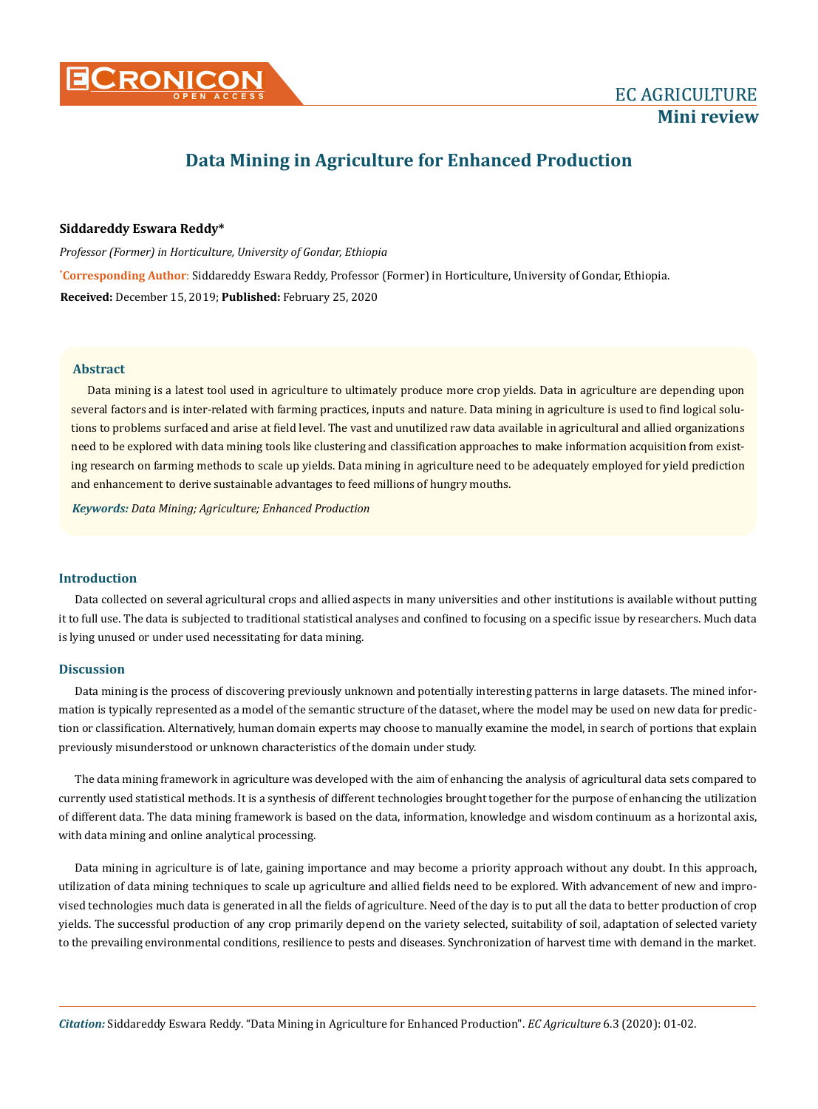

# **Data Mining in Agriculture for Enhanced Production**

#### **Siddareddy Eswara Reddy\***

**\* Corresponding Author**: Siddareddy Eswara Reddy, Professor (Former) in Horticulture, University of Gondar, Ethiopia. **Received:** December 15, 2019; **Published:** February 25, 2020 *Professor (Former) in Horticulture, University of Gondar, Ethiopia*

#### **Abstract**

Data mining is a latest tool used in agriculture to ultimately produce more crop yields. Data in agriculture are depending upon several factors and is inter-related with farming practices, inputs and nature. Data mining in agriculture is used to find logical solutions to problems surfaced and arise at field level. The vast and unutilized raw data available in agricultural and allied organizations need to be explored with data mining tools like clustering and classification approaches to make information acquisition from existing research on farming methods to scale up yields. Data mining in agriculture need to be adequately employed for yield prediction and enhancement to derive sustainable advantages to feed millions of hungry mouths.

*Keywords: Data Mining; Agriculture; Enhanced Production*

### **Introduction**

Data collected on several agricultural crops and allied aspects in many universities and other institutions is available without putting it to full use. The data is subjected to traditional statistical analyses and confined to focusing on a specific issue by researchers. Much data is lying unused or under used necessitating for data mining.

#### **Discussion**

Data mining is the process of discovering previously unknown and potentially interesting patterns in large datasets. The mined information is typically represented as a model of the semantic structure of the dataset, where the model may be used on new data for prediction or classification. Alternatively, human domain experts may choose to manually examine the model, in search of portions that explain previously misunderstood or unknown characteristics of the domain under study.

The data mining framework in agriculture was developed with the aim of enhancing the analysis of agricultural data sets compared to currently used statistical methods. It is a synthesis of different technologies brought together for the purpose of enhancing the utilization of different data. The data mining framework is based on the data, information, knowledge and wisdom continuum as a horizontal axis, with data mining and online analytical processing.

Data mining in agriculture is of late, gaining importance and may become a priority approach without any doubt. In this approach, utilization of data mining techniques to scale up agriculture and allied fields need to be explored. With advancement of new and improvised technologies much data is generated in all the fields of agriculture. Need of the day is to put all the data to better production of crop yields. The successful production of any crop primarily depend on the variety selected, suitability of soil, adaptation of selected variety to the prevailing environmental conditions, resilience to pests and diseases. Synchronization of harvest time with demand in the market.